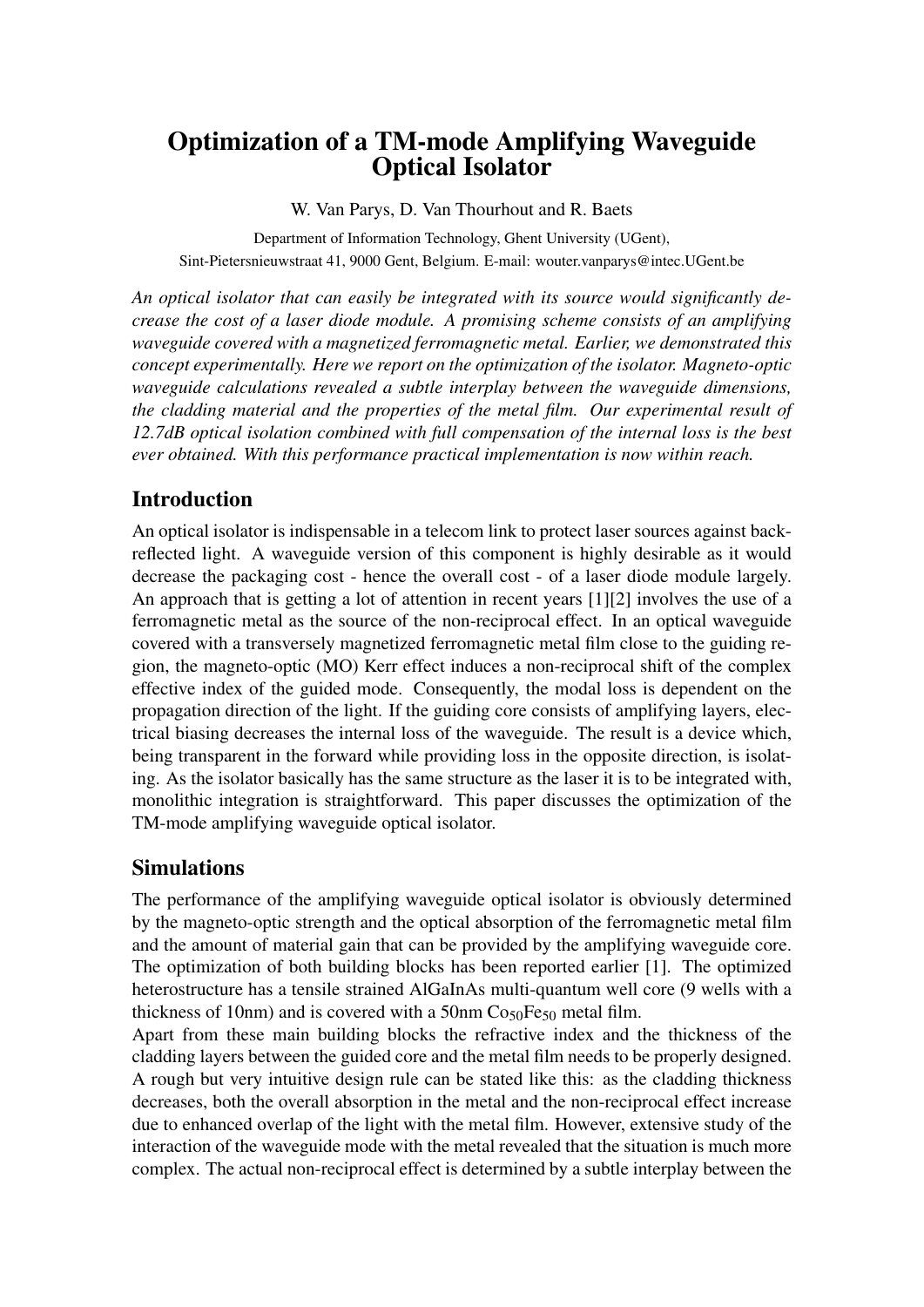# Optimization of a TM-mode Amplifying Waveguide Optical Isolator

W. Van Parys, D. Van Thourhout and R. Baets

Department of Information Technology, Ghent University (UGent), Sint-Pietersnieuwstraat 41, 9000 Gent, Belgium. E-mail: wouter.vanparys@intec.UGent.be

*An optical isolator that can easily be integrated with its source would significantly decrease the cost of a laser diode module. A promising scheme consists of an amplifying waveguide covered with a magnetized ferromagnetic metal. Earlier, we demonstrated this concept experimentally. Here we report on the optimization of the isolator. Magneto-optic waveguide calculations revealed a subtle interplay between the waveguide dimensions, the cladding material and the properties of the metal film. Our experimental result of 12.7dB optical isolation combined with full compensation of the internal loss is the best ever obtained. With this performance practical implementation is now within reach.*

# Introduction

An optical isolator is indispensable in a telecom link to protect laser sources against backreflected light. A waveguide version of this component is highly desirable as it would decrease the packaging cost - hence the overall cost - of a laser diode module largely. An approach that is getting a lot of attention in recent years [1][2] involves the use of a ferromagnetic metal as the source of the non-reciprocal effect. In an optical waveguide covered with a transversely magnetized ferromagnetic metal film close to the guiding region, the magneto-optic (MO) Kerr effect induces a non-reciprocal shift of the complex effective index of the guided mode. Consequently, the modal loss is dependent on the propagation direction of the light. If the guiding core consists of amplifying layers, electrical biasing decreases the internal loss of the waveguide. The result is a device which, being transparent in the forward while providing loss in the opposite direction, is isolating. As the isolator basically has the same structure as the laser it is to be integrated with, monolithic integration is straightforward. This paper discusses the optimization of the TM-mode amplifying waveguide optical isolator.

## Simulations

The performance of the amplifying waveguide optical isolator is obviously determined by the magneto-optic strength and the optical absorption of the ferromagnetic metal film and the amount of material gain that can be provided by the amplifying waveguide core. The optimization of both building blocks has been reported earlier [1]. The optimized heterostructure has a tensile strained AlGaInAs multi-quantum well core (9 wells with a thickness of 10nm) and is covered with a 50nm  $Co<sub>50</sub>Fe<sub>50</sub>$  metal film.

Apart from these main building blocks the refractive index and the thickness of the cladding layers between the guided core and the metal film needs to be properly designed. A rough but very intuitive design rule can be stated like this: as the cladding thickness decreases, both the overall absorption in the metal and the non-reciprocal effect increase due to enhanced overlap of the light with the metal film. However, extensive study of the interaction of the waveguide mode with the metal revealed that the situation is much more complex. The actual non-reciprocal effect is determined by a subtle interplay between the